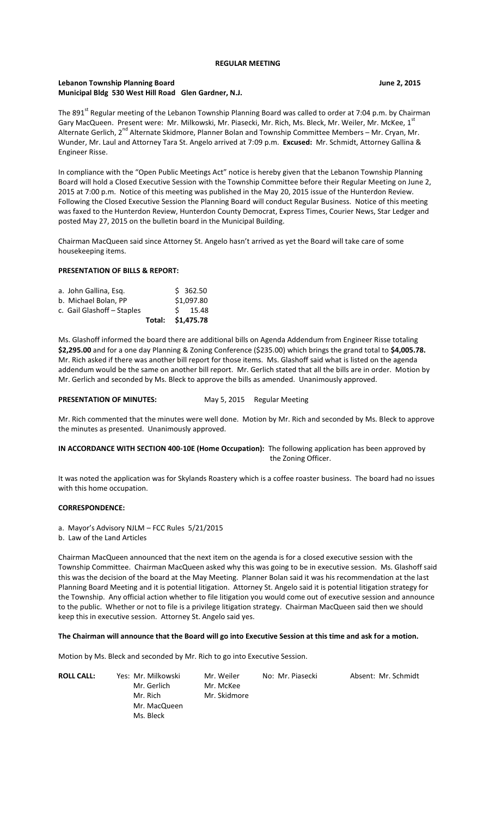#### **REGULAR MEETING**

## **Lebanon Township Planning Board June 2, 2015 Municipal Bldg 530 West Hill Road Glen Gardner, N.J.**

The 891<sup>st</sup> Regular meeting of the Lebanon Township Planning Board was called to order at 7:04 p.m. by Chairman Gary MacQueen. Present were: Mr. Milkowski, Mr. Piasecki, Mr. Rich, Ms. Bleck, Mr. Weiler, Mr. McKee, 1st Alternate Gerlich, 2<sup>nd</sup> Alternate Skidmore, Planner Bolan and Township Committee Members – Mr. Cryan, Mr. Wunder, Mr. Laul and Attorney Tara St. Angelo arrived at 7:09 p.m. **Excused:** Mr. Schmidt, Attorney Gallina & Engineer Risse.

In compliance with the "Open Public Meetings Act" notice is hereby given that the Lebanon Township Planning Board will hold a Closed Executive Session with the Township Committee before their Regular Meeting on June 2, 2015 at 7:00 p.m. Notice of this meeting was published in the May 20, 2015 issue of the Hunterdon Review. Following the Closed Executive Session the Planning Board will conduct Regular Business. Notice of this meeting was faxed to the Hunterdon Review, Hunterdon County Democrat, Express Times, Courier News, Star Ledger and posted May 27, 2015 on the bulletin board in the Municipal Building.

Chairman MacQueen said since Attorney St. Angelo hasn't arrived as yet the Board will take care of some housekeeping items.

# **PRESENTATION OF BILLS & REPORT:**

|                            | Total: \$1,475.78 |            |
|----------------------------|-------------------|------------|
| c. Gail Glashoff - Staples |                   | $S$ 15.48  |
| b. Michael Bolan, PP       |                   | \$1,097.80 |
| a. John Gallina, Esg.      |                   | \$362.50   |

Ms. Glashoff informed the board there are additional bills on Agenda Addendum from Engineer Risse totaling **\$2,295.00** and for a one day Planning & Zoning Conference (\$235.00) which brings the grand total to **\$4,005.78.**  Mr. Rich asked if there was another bill report for those items. Ms. Glashoff said what is listed on the agenda addendum would be the same on another bill report. Mr. Gerlich stated that all the bills are in order. Motion by Mr. Gerlich and seconded by Ms. Bleck to approve the bills as amended. Unanimously approved.

#### PRESENTATION OF MINUTES: May 5, 2015 Regular Meeting

Mr. Rich commented that the minutes were well done. Motion by Mr. Rich and seconded by Ms. Bleck to approve the minutes as presented. Unanimously approved.

**IN ACCORDANCE WITH SECTION 400-10E (Home Occupation):** The following application has been approved by the Zoning Officer.

It was noted the application was for Skylands Roastery which is a coffee roaster business. The board had no issues with this home occupation.

### **CORRESPONDENCE:**

a. Mayor's Advisory NJLM – FCC Rules 5/21/2015

b. Law of the Land Articles

Chairman MacQueen announced that the next item on the agenda is for a closed executive session with the Township Committee. Chairman MacQueen asked why this was going to be in executive session. Ms. Glashoff said this was the decision of the board at the May Meeting. Planner Bolan said it was his recommendation at the last Planning Board Meeting and it is potential litigation. Attorney St. Angelo said it is potential litigation strategy for the Township. Any official action whether to file litigation you would come out of executive session and announce to the public. Whether or not to file is a privilege litigation strategy. Chairman MacQueen said then we should keep this in executive session. Attorney St. Angelo said yes.

#### **The Chairman will announce that the Board will go into Executive Session at this time and ask for a motion.**

Motion by Ms. Bleck and seconded by Mr. Rich to go into Executive Session.

| <b>ROLL CALL:</b> | Yes: Mr. Milkowski<br>Mr. Gerlich<br>Mr. Rich | Mr. Weiler<br>Mr. McKee<br>Mr. Skidmore | No: Mr. Piasecki | Absent: Mr. Schmidt |
|-------------------|-----------------------------------------------|-----------------------------------------|------------------|---------------------|
|                   | Mr. MacQueen                                  |                                         |                  |                     |
|                   | Ms. Bleck                                     |                                         |                  |                     |